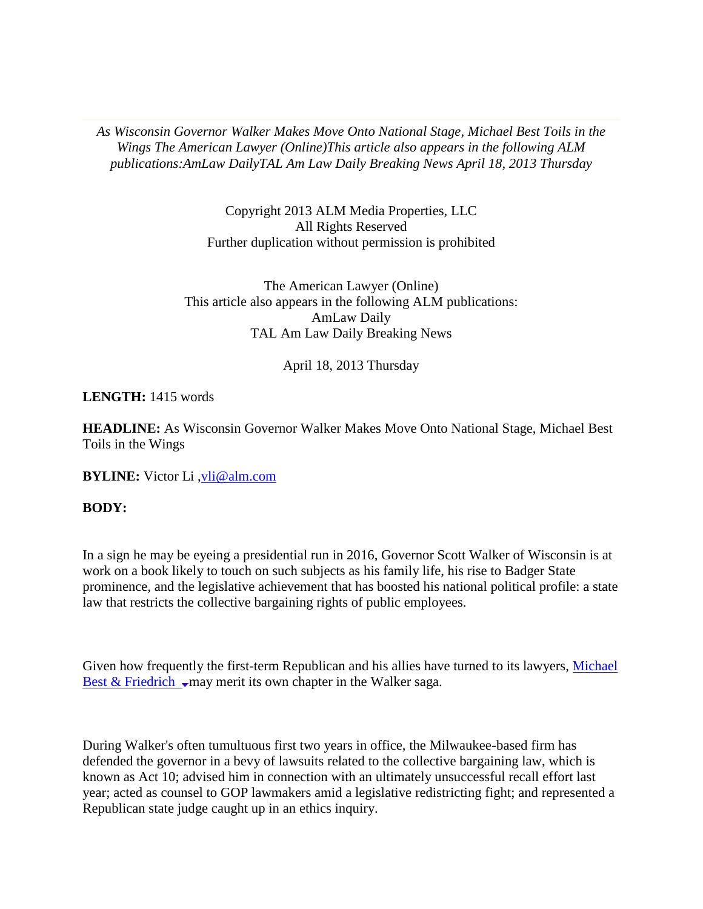*As Wisconsin Governor Walker Makes Move Onto National Stage, Michael Best Toils in the Wings The American Lawyer (Online)This article also appears in the following ALM publications:AmLaw DailyTAL Am Law Daily Breaking News April 18, 2013 Thursday* 

> Copyright 2013 ALM Media Properties, LLC All Rights Reserved Further duplication without permission is prohibited

The American Lawyer (Online) This article also appears in the following ALM publications: AmLaw Daily TAL Am Law Daily Breaking News

## April 18, 2013 Thursday

## **LENGTH:** 1415 words

**HEADLINE:** As Wisconsin Governor Walker Makes Move Onto National Stage, Michael Best Toils in the Wings

**BYLINE:** Victor Li [,vli@alm.com](mailto:vli@alm.com)

## **BODY:**

In a sign he may be eyeing a presidential run in 2016, Governor Scott Walker of Wisconsin is at work on a book likely to touch on such subjects as his family life, his rise to Badger State prominence, and the legislative achievement that has boosted his national political profile: a state law that restricts the collective bargaining rights of public employees.

Given how frequently the first-term Republican and his allies have turned to its lawyers, Michael Best & Friedrich  $\sqrt{ }$  may merit its own chapter in the Walker saga.

During Walker's often tumultuous first two years in office, the Milwaukee-based firm has defended the governor in a bevy of lawsuits related to the collective bargaining law, which is known as Act 10; advised him in connection with an ultimately unsuccessful recall effort last year; acted as counsel to GOP lawmakers amid a legislative redistricting fight; and represented a Republican state judge caught up in an ethics inquiry.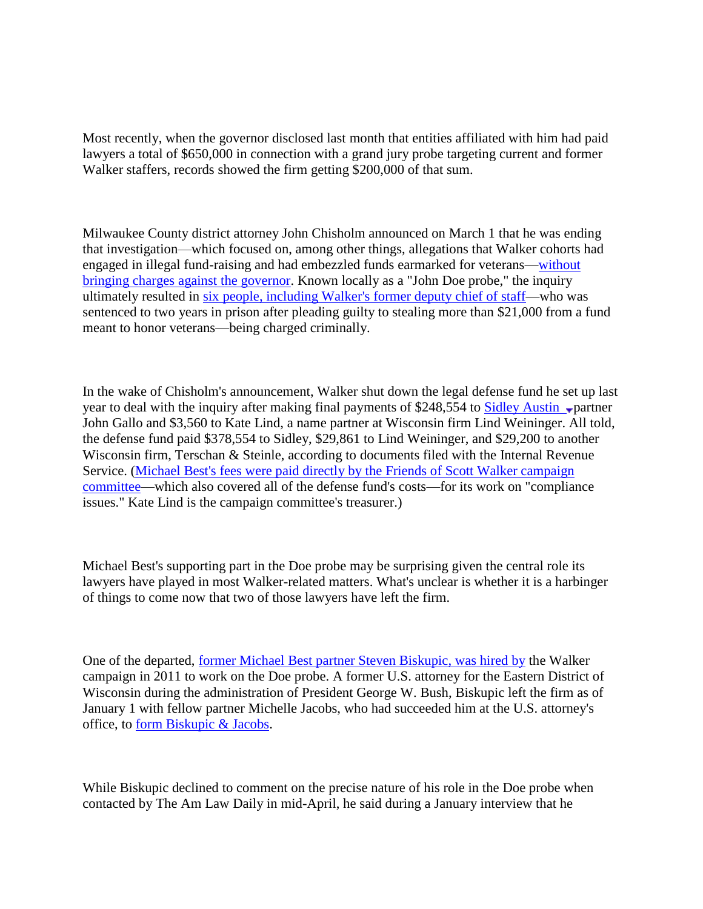Most recently, when the governor disclosed last month that entities affiliated with him had paid lawyers a total of \$650,000 in connection with a grand jury probe targeting current and former Walker staffers, records showed the firm getting \$200,000 of that sum.

Milwaukee County district attorney John Chisholm announced on March 1 that he was ending that investigation—which focused on, among other things, allegations that Walker cohorts had engaged in illegal fund-raising and had embezzled funds earmarked for veterans[—without](http://host.madison.com/news/local/crime_and_courts/prosecutor-closes-john-doe-investigation-into-former-scott-walker-aides/article_5952999e-8283-11e2-b977-001a4bcf887a.html)  [bringing charges against the governor.](http://host.madison.com/news/local/crime_and_courts/prosecutor-closes-john-doe-investigation-into-former-scott-walker-aides/article_5952999e-8283-11e2-b977-001a4bcf887a.html) Known locally as a "John Doe probe," the inquiry ultimately resulted in [six people, including Walker's former deputy chief of staff—](http://www.jsonline.com/news/milwaukee/report-scott-walker-probe-closed-with-no-new-charges-qh8vsfb-194194091.html)who was sentenced to two years in prison after pleading guilty to stealing more than \$21,000 from a fund meant to honor veterans—being charged criminally.

In the wake of Chisholm's announcement, Walker shut down the legal defense fund he set up last year to deal with the inquiry after making final payments of \$248,554 to Sidley Austin  $\sqrt{p}$  partner John Gallo and \$3,560 to Kate Lind, a name partner at Wisconsin firm Lind Weininger. All told, the defense fund paid \$378,554 to Sidley, \$29,861 to Lind Weininger, and \$29,200 to another Wisconsin firm, Terschan & Steinle, according to documents filed with the Internal Revenue Service. [\(Michael Best's fees were paid directly by the Friends of Scott Walker campaign](http://www.jsonline.com/blogs/news/200637001.html)  [committee—](http://www.jsonline.com/blogs/news/200637001.html)which also covered all of the defense fund's costs—for its work on "compliance issues." Kate Lind is the campaign committee's treasurer.)

Michael Best's supporting part in the Doe probe may be surprising given the central role its lawyers have played in most Walker-related matters. What's unclear is whether it is a harbinger of things to come now that two of those lawyers have left the firm.

One of the departed, [former Michael Best partner Steven Biskupic, was hired by](http://host.madison.com/news/opinion/editorial/as-walker-hires-criminal-defense-team-he-should-level-with/article_5e6a61be-5034-11e1-9605-001871e3ce6c.html) the Walker campaign in 2011 to work on the Doe probe. A former U.S. attorney for the Eastern District of Wisconsin during the administration of President George W. Bush, Biskupic left the firm as of January 1 with fellow partner Michelle Jacobs, who had succeeded him at the U.S. attorney's office, to [form Biskupic & Jacobs.](http://nafusa.org/2013/01/biskupic-jacobs-open-firm-in-milwaukee/)

While Biskupic declined to comment on the precise nature of his role in the Doe probe when contacted by The Am Law Daily in mid-April, he said during a January interview that he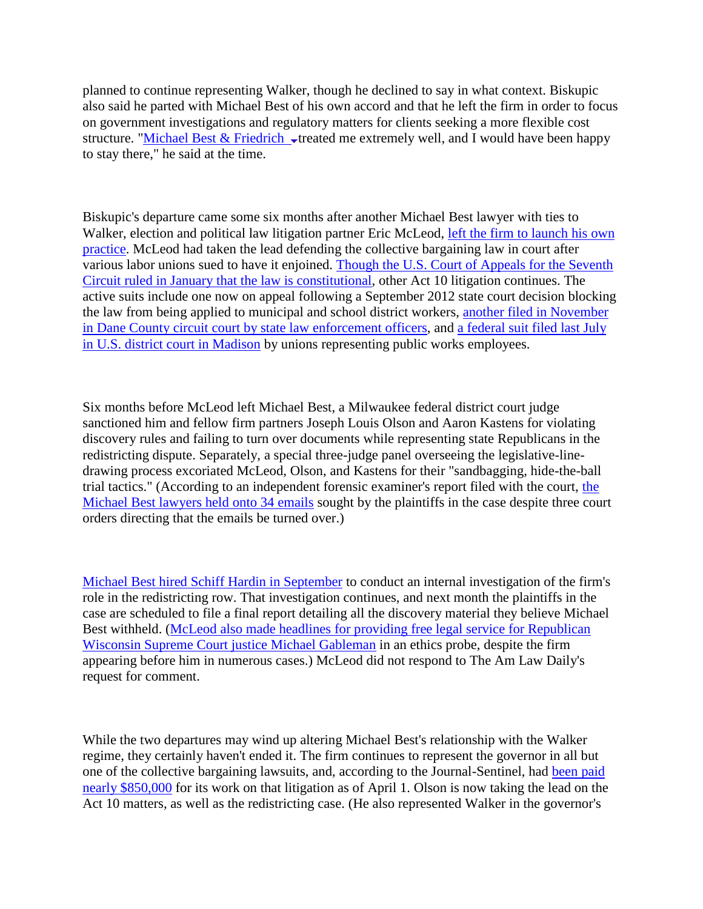planned to continue representing Walker, though he declined to say in what context. Biskupic also said he parted with Michael Best of his own accord and that he left the firm in order to focus on government investigations and regulatory matters for clients seeking a more flexible cost structure. "Michael Best & Friedrich  $\overline{\phantom{a}}$  treated me extremely well, and I would have been happy to stay there," he said at the time.

Biskupic's departure came some six months after another Michael Best lawyer with ties to Walker, election and political law litigation partner Eric McLeod, left the firm to launch his own [practice.](http://host.madison.com/news/local/crime_and_courts/blog/crime-and-courts-controversial-michael-best-friedrich-attorney-leaves-firm/article_3e3baa2e-d103-11e1-a2be-0019bb2963f4.html) McLeod had taken the lead defending the collective bargaining law in court after various labor unions sued to have it enjoined. [Though the U.S. Court of Appeals for the Seventh](http://www.huffingtonpost.com/2013/01/18/scott-walker_n_2507376.html)  [Circuit ruled in January that the law is constitutional,](http://www.huffingtonpost.com/2013/01/18/scott-walker_n_2507376.html) other Act 10 litigation continues. The active suits include one now on appeal following a September 2012 state court decision blocking the law from being applied to municipal and school district workers, [another filed in November](http://host.madison.com/daily-cardinal/news/law-enforcement-union-files-challenge-against-act/article_9f512496-2f00-11e2-9d91-0019bb2963f4.html)  [in Dane County circuit court by state law enforcement officers,](http://host.madison.com/daily-cardinal/news/law-enforcement-union-files-challenge-against-act/article_9f512496-2f00-11e2-9d91-0019bb2963f4.html) and [a federal suit filed last July](http://www.courthousenews.com/2011/07/07/37945.htm)  [in U.S. district court in Madison](http://www.courthousenews.com/2011/07/07/37945.htm) by unions representing public works employees.

Six months before McLeod left Michael Best, a Milwaukee federal district court judge sanctioned him and fellow firm partners Joseph Louis Olson and Aaron Kastens for violating discovery rules and failing to turn over documents while representing state Republicans in the redistricting dispute. Separately, a special three-judge panel overseeing the legislative-linedrawing process excoriated McLeod, Olson, and Kastens for their "sandbagging, hide-the-ball trial tactics." (According to an independent forensic examiner's report filed with the court, [the](http://www.jsonline.com/news/statepolitics/lawyers-in-gop-redistricting-case-withheld-34-emails-from-groups-5v789vn-174380121.html)  [Michael Best lawyers held onto 34 emails](http://www.jsonline.com/news/statepolitics/lawyers-in-gop-redistricting-case-withheld-34-emails-from-groups-5v789vn-174380121.html) sought by the plaintiffs in the case despite three court orders directing that the emails be turned over.)

[Michael Best hired Schiff Hardin in September](http://www.jsonline.com/news/statepolitics/redistricting-attorneys-conducting-internal-investigation-cc6s3lc-169862556.html) to conduct an internal investigation of the firm's role in the redistricting row. That investigation continues, and next month the plaintiffs in the case are scheduled to file a final report detailing all the discovery material they believe Michael Best withheld. [\(McLeod also made headlines for providing free legal service for Republican](http://www.americanlawyer.com/PubArticleALD.jsp?germane=1202575026955&id=1202549876516)  [Wisconsin Supreme Court justice Michael Gableman](http://www.americanlawyer.com/PubArticleALD.jsp?germane=1202575026955&id=1202549876516) in an ethics probe, despite the firm appearing before him in numerous cases.) McLeod did not respond to The Am Law Daily's request for comment.

While the two departures may wind up altering Michael Best's relationship with the Walker regime, they certainly haven't ended it. The firm continues to represent the governor in all but one of the collective bargaining lawsuits, and, according to the Journal-Sentinel, had [been paid](http://www.jsonline.com/news/statepolitics/act-10-lawsuits-have-cost-taxpayers-nearly-850000--and-the-bill-is-climbing-139ddu1-201323071.html)  [nearly \\$850,000](http://www.jsonline.com/news/statepolitics/act-10-lawsuits-have-cost-taxpayers-nearly-850000--and-the-bill-is-climbing-139ddu1-201323071.html) for its work on that litigation as of April 1. Olson is now taking the lead on the Act 10 matters, as well as the redistricting case. (He also represented Walker in the governor's